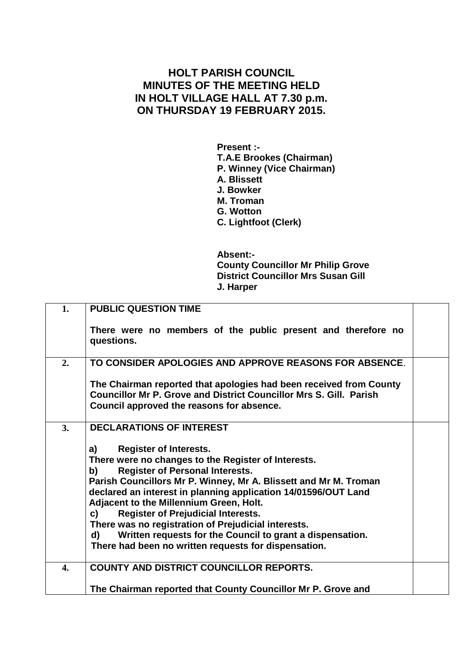## **HOLT PARISH COUNCIL MINUTES OF THE MEETING HELD IN HOLT VILLAGE HALL AT 7.30 p.m. ON THURSDAY 19 FEBRUARY 2015.**

**Present :- T.A.E Brookes (Chairman) P. Winney (Vice Chairman) A. Blissett J. Bowker M. Troman G. Wotton C. Lightfoot (Clerk)**

**Absent:- County Councillor Mr Philip Grove District Councillor Mrs Susan Gill J. Harper**

| 1. | <b>PUBLIC QUESTION TIME</b>                                                                                                                                                                                                                                                                                                                                                                                                                                                                                                                                        |  |
|----|--------------------------------------------------------------------------------------------------------------------------------------------------------------------------------------------------------------------------------------------------------------------------------------------------------------------------------------------------------------------------------------------------------------------------------------------------------------------------------------------------------------------------------------------------------------------|--|
|    | There were no members of the public present and therefore no<br>questions.                                                                                                                                                                                                                                                                                                                                                                                                                                                                                         |  |
| 2. | TO CONSIDER APOLOGIES AND APPROVE REASONS FOR ABSENCE.                                                                                                                                                                                                                                                                                                                                                                                                                                                                                                             |  |
|    | The Chairman reported that apologies had been received from County<br><b>Councillor Mr P. Grove and District Councillor Mrs S. Gill. Parish</b><br>Council approved the reasons for absence.                                                                                                                                                                                                                                                                                                                                                                       |  |
| 3. | <b>DECLARATIONS OF INTEREST</b>                                                                                                                                                                                                                                                                                                                                                                                                                                                                                                                                    |  |
|    | <b>Register of Interests.</b><br>a)<br>There were no changes to the Register of Interests.<br><b>Register of Personal Interests.</b><br>b) a<br>Parish Councillors Mr P. Winney, Mr A. Blissett and Mr M. Troman<br>declared an interest in planning application 14/01596/OUT Land<br>Adjacent to the Millennium Green, Holt.<br><b>Register of Prejudicial Interests.</b><br>c)<br>There was no registration of Prejudicial interests.<br>Written requests for the Council to grant a dispensation.<br>d)<br>There had been no written requests for dispensation. |  |
| 4. | <b>COUNTY AND DISTRICT COUNCILLOR REPORTS.</b>                                                                                                                                                                                                                                                                                                                                                                                                                                                                                                                     |  |
|    | The Chairman reported that County Councillor Mr P. Grove and                                                                                                                                                                                                                                                                                                                                                                                                                                                                                                       |  |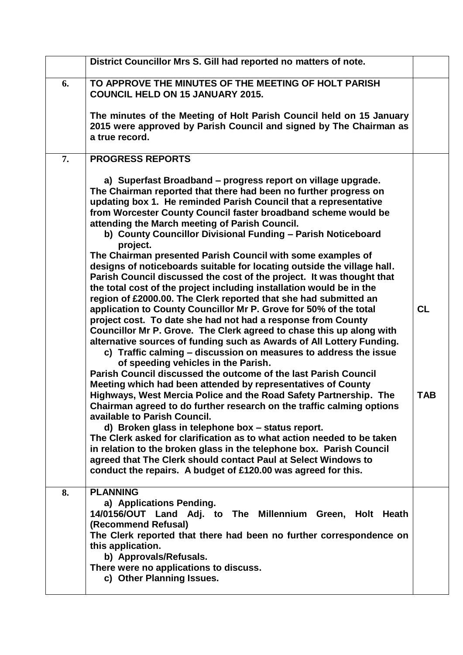|    | District Councillor Mrs S. Gill had reported no matters of note.                                                                                                                                                                                                                                                                                                                                                                                                                                                                                                                                                                                                                                                                                                                                                                         |            |
|----|------------------------------------------------------------------------------------------------------------------------------------------------------------------------------------------------------------------------------------------------------------------------------------------------------------------------------------------------------------------------------------------------------------------------------------------------------------------------------------------------------------------------------------------------------------------------------------------------------------------------------------------------------------------------------------------------------------------------------------------------------------------------------------------------------------------------------------------|------------|
| 6. | TO APPROVE THE MINUTES OF THE MEETING OF HOLT PARISH<br><b>COUNCIL HELD ON 15 JANUARY 2015.</b>                                                                                                                                                                                                                                                                                                                                                                                                                                                                                                                                                                                                                                                                                                                                          |            |
|    | The minutes of the Meeting of Holt Parish Council held on 15 January<br>2015 were approved by Parish Council and signed by The Chairman as<br>a true record.                                                                                                                                                                                                                                                                                                                                                                                                                                                                                                                                                                                                                                                                             |            |
| 7. | <b>PROGRESS REPORTS</b>                                                                                                                                                                                                                                                                                                                                                                                                                                                                                                                                                                                                                                                                                                                                                                                                                  |            |
|    | a) Superfast Broadband – progress report on village upgrade.<br>The Chairman reported that there had been no further progress on<br>updating box 1. He reminded Parish Council that a representative<br>from Worcester County Council faster broadband scheme would be<br>attending the March meeting of Parish Council.<br>b) County Councillor Divisional Funding - Parish Noticeboard<br>project.<br>The Chairman presented Parish Council with some examples of<br>designs of noticeboards suitable for locating outside the village hall.<br>Parish Council discussed the cost of the project. It was thought that<br>the total cost of the project including installation would be in the<br>region of £2000.00. The Clerk reported that she had submitted an<br>application to County Councillor Mr P. Grove for 50% of the total | <b>CL</b>  |
|    | project cost. To date she had not had a response from County<br>Councillor Mr P. Grove. The Clerk agreed to chase this up along with<br>alternative sources of funding such as Awards of All Lottery Funding.<br>c) Traffic calming - discussion on measures to address the issue<br>of speeding vehicles in the Parish.                                                                                                                                                                                                                                                                                                                                                                                                                                                                                                                 |            |
|    | Parish Council discussed the outcome of the last Parish Council<br>Meeting which had been attended by representatives of County<br>Highways, West Mercia Police and the Road Safety Partnership. The<br>Chairman agreed to do further research on the traffic calming options<br>available to Parish Council.<br>d) Broken glass in telephone box - status report.<br>The Clerk asked for clarification as to what action needed to be taken<br>in relation to the broken glass in the telephone box. Parish Council<br>agreed that The Clerk should contact Paul at Select Windows to<br>conduct the repairs. A budget of £120.00 was agreed for this.                                                                                                                                                                                  | <b>TAB</b> |
| 8. | <b>PLANNING</b><br>a) Applications Pending.<br>14/0156/OUT Land Adj. to The Millennium Green, Holt Heath<br>(Recommend Refusal)<br>The Clerk reported that there had been no further correspondence on<br>this application.<br>b) Approvals/Refusals.<br>There were no applications to discuss.<br>c) Other Planning Issues.                                                                                                                                                                                                                                                                                                                                                                                                                                                                                                             |            |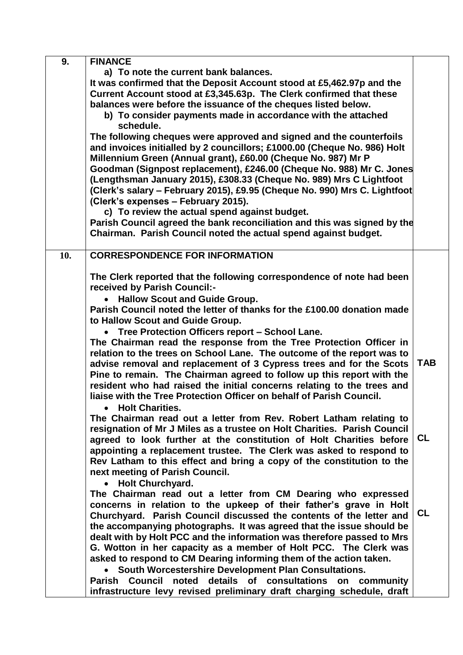| 9.  | <b>FINANCE</b>                                                            |            |
|-----|---------------------------------------------------------------------------|------------|
|     | a) To note the current bank balances.                                     |            |
|     | It was confirmed that the Deposit Account stood at £5,462.97p and the     |            |
|     | Current Account stood at £3,345.63p. The Clerk confirmed that these       |            |
|     | balances were before the issuance of the cheques listed below.            |            |
|     | b) To consider payments made in accordance with the attached              |            |
|     | schedule.                                                                 |            |
|     | The following cheques were approved and signed and the counterfoils       |            |
|     | and invoices initialled by 2 councillors; £1000.00 (Cheque No. 986) Holt  |            |
|     | Millennium Green (Annual grant), £60.00 (Cheque No. 987) Mr P             |            |
|     | Goodman (Signpost replacement), £246.00 (Cheque No. 988) Mr C. Jones      |            |
|     | (Lengthsman January 2015), £308.33 (Cheque No. 989) Mrs C Lightfoot       |            |
|     | (Clerk's salary - February 2015), £9.95 (Cheque No. 990) Mrs C. Lightfoot |            |
|     | (Clerk's expenses - February 2015).                                       |            |
|     | c) To review the actual spend against budget.                             |            |
|     | Parish Council agreed the bank reconciliation and this was signed by the  |            |
|     | Chairman. Parish Council noted the actual spend against budget.           |            |
|     |                                                                           |            |
| 10. | <b>CORRESPONDENCE FOR INFORMATION</b>                                     |            |
|     |                                                                           |            |
|     | The Clerk reported that the following correspondence of note had been     |            |
|     | received by Parish Council:-                                              |            |
|     | <b>Hallow Scout and Guide Group.</b>                                      |            |
|     | Parish Council noted the letter of thanks for the £100.00 donation made   |            |
|     | to Hallow Scout and Guide Group.                                          |            |
|     | • Tree Protection Officers report - School Lane.                          |            |
|     | The Chairman read the response from the Tree Protection Officer in        |            |
|     | relation to the trees on School Lane. The outcome of the report was to    |            |
|     | advise removal and replacement of 3 Cypress trees and for the Scots       | <b>TAB</b> |
|     | Pine to remain. The Chairman agreed to follow up this report with the     |            |
|     | resident who had raised the initial concerns relating to the trees and    |            |
|     | liaise with the Tree Protection Officer on behalf of Parish Council.      |            |
|     | <b>Holt Charities.</b>                                                    |            |
|     | The Chairman read out a letter from Rev. Robert Latham relating to        |            |
|     | resignation of Mr J Miles as a trustee on Holt Charities. Parish Council  |            |
|     | agreed to look further at the constitution of Holt Charities before       | <b>CL</b>  |
|     | appointing a replacement trustee. The Clerk was asked to respond to       |            |
|     | Rev Latham to this effect and bring a copy of the constitution to the     |            |
|     | next meeting of Parish Council.                                           |            |
|     | • Holt Churchyard.                                                        |            |
|     | The Chairman read out a letter from CM Dearing who expressed              |            |
|     | concerns in relation to the upkeep of their father's grave in Holt        |            |
|     | Churchyard. Parish Council discussed the contents of the letter and       | <b>CL</b>  |
|     | the accompanying photographs. It was agreed that the issue should be      |            |
|     | dealt with by Holt PCC and the information was therefore passed to Mrs    |            |
|     | G. Wotton in her capacity as a member of Holt PCC. The Clerk was          |            |
|     | asked to respond to CM Dearing informing them of the action taken.        |            |
|     | South Worcestershire Development Plan Consultations.                      |            |
|     | Parish Council noted details of consultations<br>on community             |            |
|     |                                                                           |            |
|     | infrastructure levy revised preliminary draft charging schedule, draft    |            |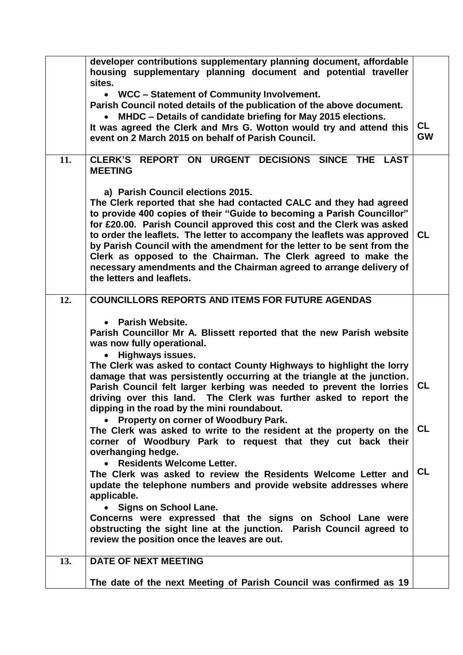|     | developer contributions supplementary planning document, affordable<br>housing supplementary planning document and potential traveller                                                                                                                                                                                                                                                                                                                                                                                                                                                  |                        |
|-----|-----------------------------------------------------------------------------------------------------------------------------------------------------------------------------------------------------------------------------------------------------------------------------------------------------------------------------------------------------------------------------------------------------------------------------------------------------------------------------------------------------------------------------------------------------------------------------------------|------------------------|
|     | sites.<br>WCC - Statement of Community Involvement.<br>$\bullet$                                                                                                                                                                                                                                                                                                                                                                                                                                                                                                                        |                        |
|     | Parish Council noted details of the publication of the above document.<br>MHDC - Details of candidate briefing for May 2015 elections.<br>It was agreed the Clerk and Mrs G. Wotton would try and attend this<br>event on 2 March 2015 on behalf of Parish Council.                                                                                                                                                                                                                                                                                                                     | <b>CL</b><br><b>GW</b> |
| 11. | CLERK'S REPORT ON URGENT DECISIONS SINCE THE LAST<br><b>MEETING</b>                                                                                                                                                                                                                                                                                                                                                                                                                                                                                                                     |                        |
|     | a) Parish Council elections 2015.<br>The Clerk reported that she had contacted CALC and they had agreed<br>to provide 400 copies of their "Guide to becoming a Parish Councillor"<br>for £20.00. Parish Council approved this cost and the Clerk was asked<br>to order the leaflets. The letter to accompany the leaflets was approved<br>by Parish Council with the amendment for the letter to be sent from the<br>Clerk as opposed to the Chairman. The Clerk agreed to make the<br>necessary amendments and the Chairman agreed to arrange delivery of<br>the letters and leaflets. | <b>CL</b>              |
| 12. | <b>COUNCILLORS REPORTS AND ITEMS FOR FUTURE AGENDAS</b>                                                                                                                                                                                                                                                                                                                                                                                                                                                                                                                                 |                        |
|     | <b>Parish Website.</b><br>$\bullet$<br>Parish Councillor Mr A. Blissett reported that the new Parish website<br>was now fully operational.<br><b>Highways issues.</b><br>$\bullet$                                                                                                                                                                                                                                                                                                                                                                                                      |                        |
|     | The Clerk was asked to contact County Highways to highlight the lorry<br>damage that was persistently occurring at the triangle at the junction.<br>Parish Council felt larger kerbing was needed to prevent the lorries<br>driving over this land. The Clerk was further asked to report the<br>dipping in the road by the mini roundabout.                                                                                                                                                                                                                                            | <b>CL</b>              |
|     | Property on corner of Woodbury Park.<br>The Clerk was asked to write to the resident at the property on the<br>corner of Woodbury Park to request that they cut back their<br>overhanging hedge.                                                                                                                                                                                                                                                                                                                                                                                        | <b>CL</b>              |
|     | <b>Residents Welcome Letter.</b><br>The Clerk was asked to review the Residents Welcome Letter and<br>update the telephone numbers and provide website addresses where<br>applicable.                                                                                                                                                                                                                                                                                                                                                                                                   | <b>CL</b>              |
|     | <b>Signs on School Lane.</b><br>Concerns were expressed that the signs on School Lane were<br>obstructing the sight line at the junction. Parish Council agreed to<br>review the position once the leaves are out.                                                                                                                                                                                                                                                                                                                                                                      |                        |
| 13. | <b>DATE OF NEXT MEETING</b>                                                                                                                                                                                                                                                                                                                                                                                                                                                                                                                                                             |                        |
|     | The date of the next Meeting of Parish Council was confirmed as 19                                                                                                                                                                                                                                                                                                                                                                                                                                                                                                                      |                        |